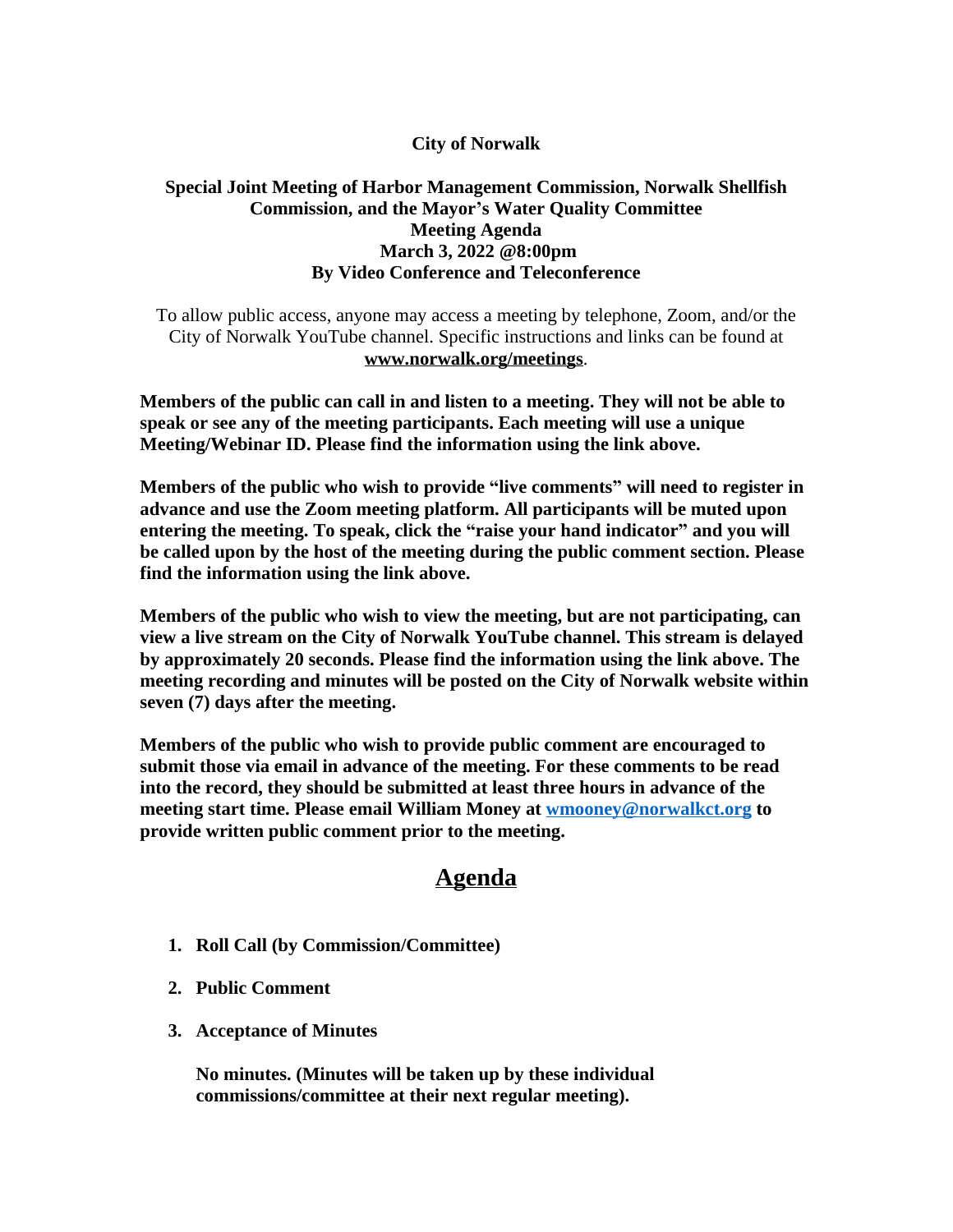## **City of Norwalk**

## **Special Joint Meeting of Harbor Management Commission, Norwalk Shellfish Commission, and the Mayor's Water Quality Committee Meeting Agenda March 3, 2022 @8:00pm By Video Conference and Teleconference**

To allow public access, anyone may access a meeting by telephone, Zoom, and/or the City of Norwalk YouTube channel. Specific instructions and links can be found at **www.norwalk.org/meetings**.

**Members of the public can call in and listen to a meeting. They will not be able to speak or see any of the meeting participants. Each meeting will use a unique Meeting/Webinar ID. Please find the information using the link above.**

**Members of the public who wish to provide "live comments" will need to register in advance and use the Zoom meeting platform. All participants will be muted upon entering the meeting. To speak, click the "raise your hand indicator" and you will be called upon by the host of the meeting during the public comment section. Please find the information using the link above.**

**Members of the public who wish to view the meeting, but are not participating, can view a live stream on the City of Norwalk YouTube channel. This stream is delayed by approximately 20 seconds. Please find the information using the link above. The meeting recording and minutes will be posted on the City of Norwalk website within seven (7) days after the meeting.**

**Members of the public who wish to provide public comment are encouraged to submit those via email in advance of the meeting. For these comments to be read into the record, they should be submitted at least three hours in advance of the meeting start time. Please email William Money at [wmooney@norwalkct.org](mailto:wmooney@norwalkct.org) to provide written public comment prior to the meeting.**

## **Agenda**

- **1. Roll Call (by Commission/Committee)**
- **2. Public Comment**
- **3. Acceptance of Minutes**

**No minutes. (Minutes will be taken up by these individual commissions/committee at their next regular meeting).**